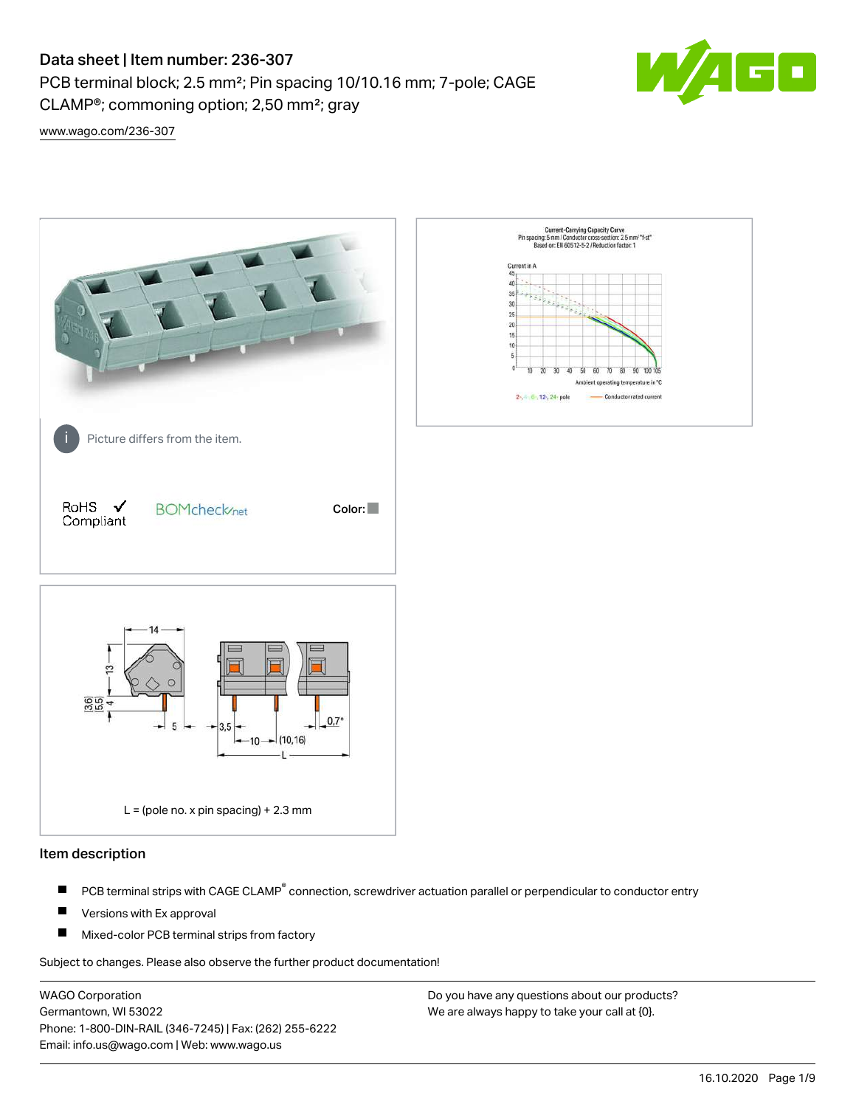# Data sheet | Item number: 236-307

CLAMP®; commoning option; 2,50 mm²; gray

PCB terminal block; 2.5 mm²; Pin spacing 10/10.16 mm; 7-pole; CAGE



[www.wago.com/236-307](http://www.wago.com/236-307)



### Item description

- PCB terminal strips with CAGE CLAMP<sup>®</sup> connection, screwdriver actuation parallel or perpendicular to conductor entry П
- П Versions with Ex approval
- П Mixed-color PCB terminal strips from factory

Subject to changes. Please also observe the further product documentation!

WAGO Corporation Germantown, WI 53022 Phone: 1-800-DIN-RAIL (346-7245) | Fax: (262) 255-6222 Email: info.us@wago.com | Web: www.wago.us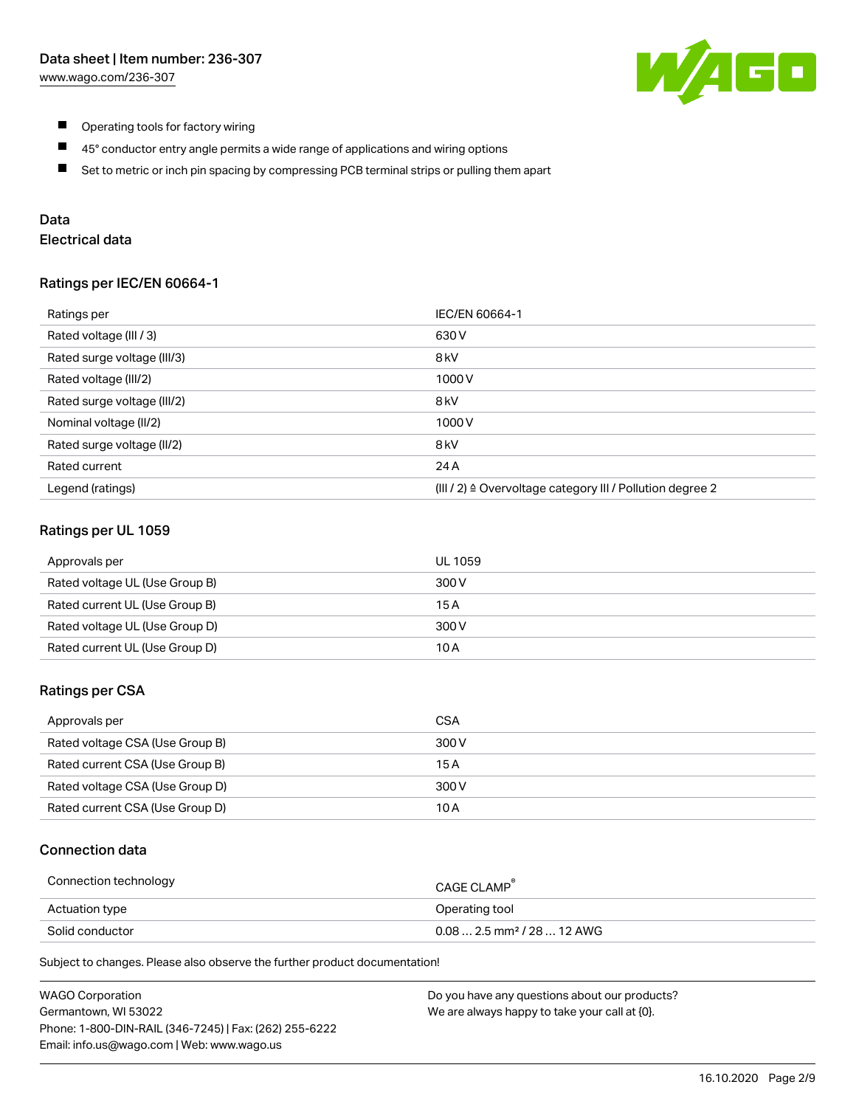

- $\blacksquare$ Operating tools for factory wiring
- $\blacksquare$ 45° conductor entry angle permits a wide range of applications and wiring options
- $\blacksquare$ Set to metric or inch pin spacing by compressing PCB terminal strips or pulling them apart

# Data

# Electrical data

#### Ratings per IEC/EN 60664-1

| Ratings per                 | IEC/EN 60664-1                                            |
|-----------------------------|-----------------------------------------------------------|
| Rated voltage (III / 3)     | 630 V                                                     |
| Rated surge voltage (III/3) | 8 <sub>kV</sub>                                           |
| Rated voltage (III/2)       | 1000 V                                                    |
| Rated surge voltage (III/2) | 8 <sub>kV</sub>                                           |
| Nominal voltage (II/2)      | 1000 V                                                    |
| Rated surge voltage (II/2)  | 8 <sub>kV</sub>                                           |
| Rated current               | 24 A                                                      |
| Legend (ratings)            | (III / 2) ≙ Overvoltage category III / Pollution degree 2 |

#### Ratings per UL 1059

| Approvals per                  | UL 1059 |
|--------------------------------|---------|
| Rated voltage UL (Use Group B) | 300 V   |
| Rated current UL (Use Group B) | 15 A    |
| Rated voltage UL (Use Group D) | 300 V   |
| Rated current UL (Use Group D) | 10 A    |

#### Ratings per CSA

| Approvals per                   | CSA   |
|---------------------------------|-------|
| Rated voltage CSA (Use Group B) | 300 V |
| Rated current CSA (Use Group B) | 15 A  |
| Rated voltage CSA (Use Group D) | 300 V |
| Rated current CSA (Use Group D) | 10 A  |

#### Connection data

| Connection technology | CAGE CLAMP <sup>®</sup>                 |
|-----------------------|-----------------------------------------|
| Actuation type        | Operating tool                          |
| Solid conductor       | $0.08$ 2.5 mm <sup>2</sup> / 28  12 AWG |

Subject to changes. Please also observe the further product documentation!

| <b>WAGO Corporation</b>                                | Do you have any questions about our products? |
|--------------------------------------------------------|-----------------------------------------------|
| Germantown, WI 53022                                   | We are always happy to take your call at {0}. |
| Phone: 1-800-DIN-RAIL (346-7245)   Fax: (262) 255-6222 |                                               |
| Email: info.us@wago.com   Web: www.wago.us             |                                               |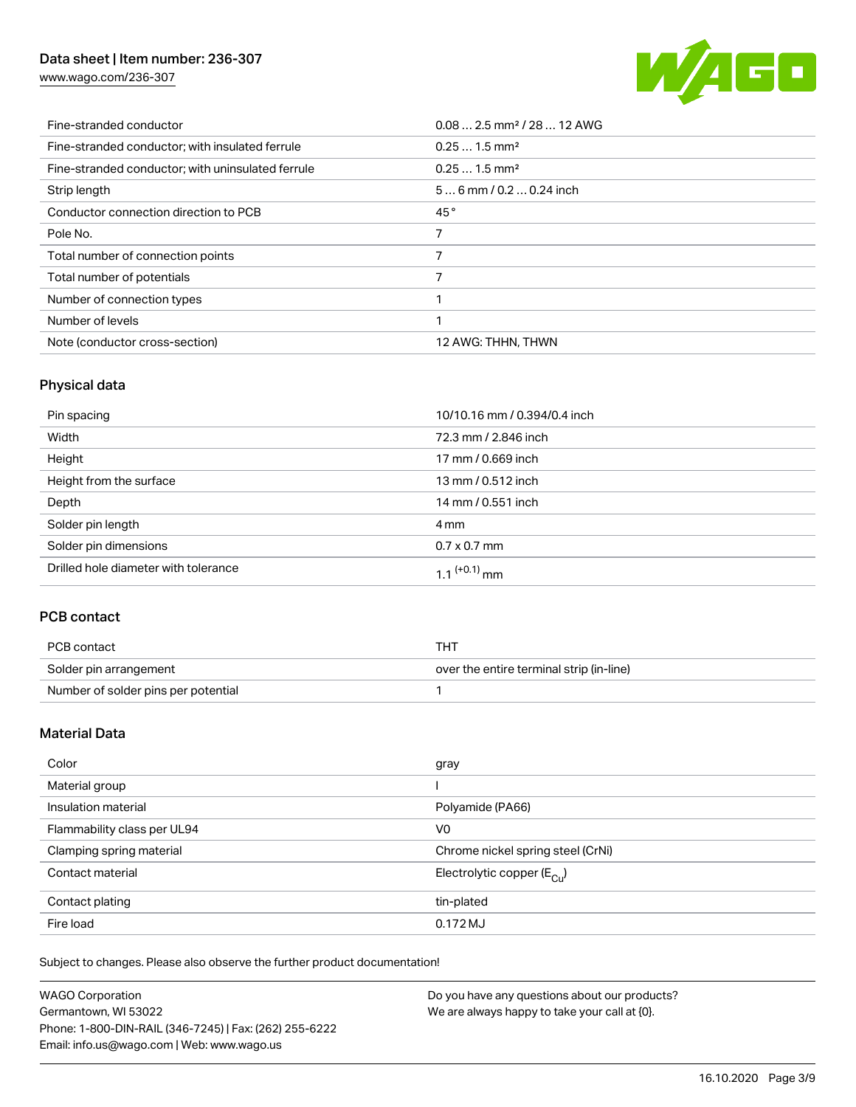# Data sheet | Item number: 236-307

[www.wago.com/236-307](http://www.wago.com/236-307)



| Fine-stranded conductor                           | $0.08$ 2.5 mm <sup>2</sup> / 28  12 AWG |
|---------------------------------------------------|-----------------------------------------|
| Fine-stranded conductor; with insulated ferrule   | $0.251.5$ mm <sup>2</sup>               |
| Fine-stranded conductor; with uninsulated ferrule | $0.251.5$ mm <sup>2</sup>               |
| Strip length                                      | $56$ mm $/ 0.20.24$ inch                |
| Conductor connection direction to PCB             | 45°                                     |
| Pole No.                                          |                                         |
| Total number of connection points                 | 7                                       |
| Total number of potentials                        |                                         |
| Number of connection types                        |                                         |
| Number of levels                                  | ◀                                       |
| Note (conductor cross-section)                    | 12 AWG: THHN, THWN                      |

# Physical data

| Pin spacing                          | 10/10.16 mm / 0.394/0.4 inch |
|--------------------------------------|------------------------------|
| Width                                | 72.3 mm / 2.846 inch         |
| Height                               | 17 mm / 0.669 inch           |
| Height from the surface              | 13 mm / 0.512 inch           |
| Depth                                | 14 mm / 0.551 inch           |
| Solder pin length                    | 4 mm                         |
| Solder pin dimensions                | $0.7 \times 0.7$ mm          |
| Drilled hole diameter with tolerance | 1.1 $(+0.1)$ mm              |

# PCB contact

| PCB contact                         | THT                                      |
|-------------------------------------|------------------------------------------|
| Solder pin arrangement              | over the entire terminal strip (in-line) |
| Number of solder pins per potential |                                          |

# Material Data

| Color                       | gray                                    |
|-----------------------------|-----------------------------------------|
| Material group              |                                         |
| Insulation material         | Polyamide (PA66)                        |
| Flammability class per UL94 | V <sub>0</sub>                          |
| Clamping spring material    | Chrome nickel spring steel (CrNi)       |
| Contact material            | Electrolytic copper ( $E_{\text{Cl}}$ ) |
| Contact plating             | tin-plated                              |
| Fire load                   | 0.172MJ                                 |

Subject to changes. Please also observe the further product documentation!

| <b>WAGO Corporation</b>                                | Do you have any questions about our products? |
|--------------------------------------------------------|-----------------------------------------------|
| Germantown, WI 53022                                   | We are always happy to take your call at {0}. |
| Phone: 1-800-DIN-RAIL (346-7245)   Fax: (262) 255-6222 |                                               |
| Email: info.us@wago.com   Web: www.wago.us             |                                               |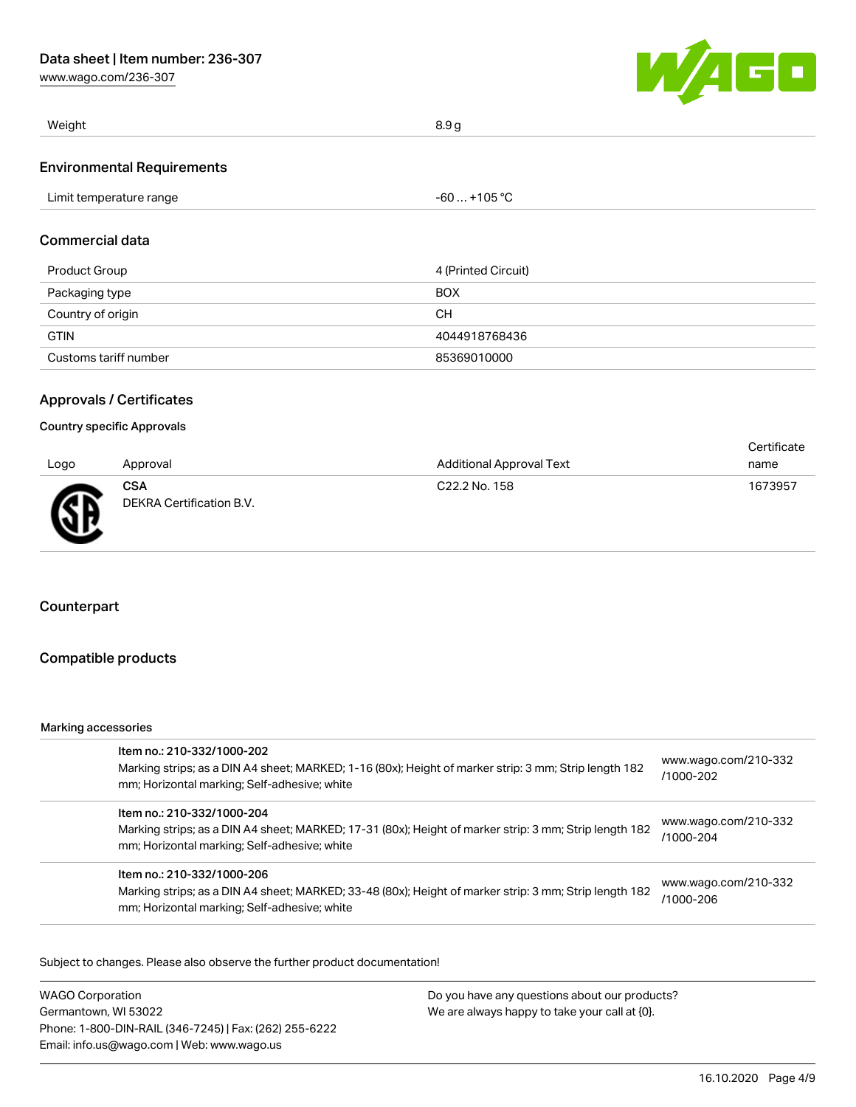[www.wago.com/236-307](http://www.wago.com/236-307)



| Weight                            | 8.9 g        |
|-----------------------------------|--------------|
| <b>Environmental Requirements</b> |              |
| Limit temperature range           | -60  +105 °C |

# Commercial data

| Product Group         | 4 (Printed Circuit) |
|-----------------------|---------------------|
| Packaging type        | <b>BOX</b>          |
| Country of origin     | CН                  |
| <b>GTIN</b>           | 4044918768436       |
| Customs tariff number | 85369010000         |

## Approvals / Certificates

## Country specific Approvals

|      |                                        |                                 | Certificate |
|------|----------------------------------------|---------------------------------|-------------|
| Logo | Approval                               | <b>Additional Approval Text</b> | name        |
| Æ    | <b>CSA</b><br>DEKRA Certification B.V. | C22.2 No. 158                   | 1673957     |

# Counterpart

## Compatible products

#### Marking accessories

| Item no.: 210-332/1000-202<br>Marking strips; as a DIN A4 sheet; MARKED; 1-16 (80x); Height of marker strip: 3 mm; Strip length 182<br>mm; Horizontal marking; Self-adhesive; white  | www.wago.com/210-332<br>/1000-202 |
|--------------------------------------------------------------------------------------------------------------------------------------------------------------------------------------|-----------------------------------|
| Item no.: 210-332/1000-204<br>Marking strips; as a DIN A4 sheet; MARKED; 17-31 (80x); Height of marker strip: 3 mm; Strip length 182<br>mm; Horizontal marking; Self-adhesive; white | www.wago.com/210-332<br>/1000-204 |
| Item no.: 210-332/1000-206<br>Marking strips; as a DIN A4 sheet; MARKED; 33-48 (80x); Height of marker strip: 3 mm; Strip length 182<br>mm; Horizontal marking; Self-adhesive; white | www.wago.com/210-332<br>/1000-206 |

Subject to changes. Please also observe the further product documentation!

WAGO Corporation Germantown, WI 53022 Phone: 1-800-DIN-RAIL (346-7245) | Fax: (262) 255-6222 Email: info.us@wago.com | Web: www.wago.us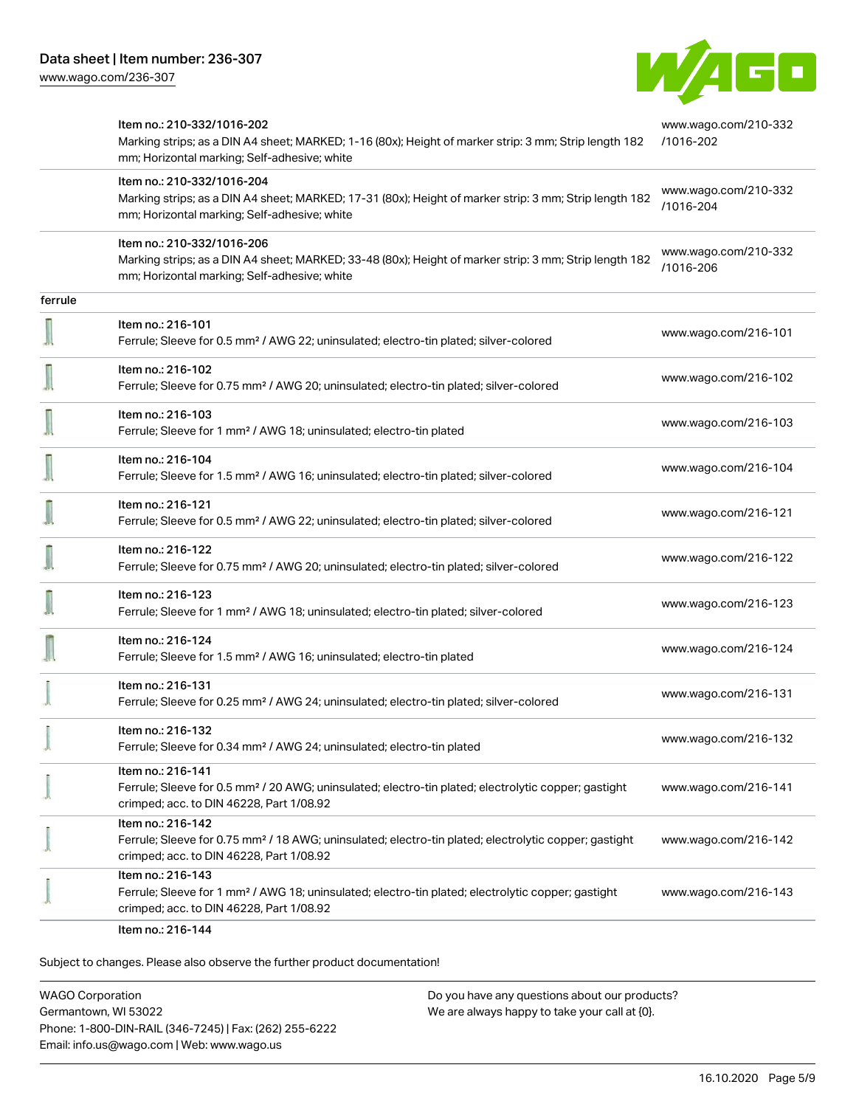

|         | Item no.: 210-332/1016-202<br>Marking strips; as a DIN A4 sheet; MARKED; 1-16 (80x); Height of marker strip: 3 mm; Strip length 182<br>mm; Horizontal marking; Self-adhesive; white  | www.wago.com/210-332<br>/1016-202 |
|---------|--------------------------------------------------------------------------------------------------------------------------------------------------------------------------------------|-----------------------------------|
|         | Item no.: 210-332/1016-204<br>Marking strips; as a DIN A4 sheet; MARKED; 17-31 (80x); Height of marker strip: 3 mm; Strip length 182<br>mm; Horizontal marking; Self-adhesive; white | www.wago.com/210-332<br>/1016-204 |
|         | Item no.: 210-332/1016-206<br>Marking strips; as a DIN A4 sheet; MARKED; 33-48 (80x); Height of marker strip: 3 mm; Strip length 182<br>mm; Horizontal marking; Self-adhesive; white | www.wago.com/210-332<br>/1016-206 |
| ferrule |                                                                                                                                                                                      |                                   |
|         | Item no.: 216-101<br>Ferrule; Sleeve for 0.5 mm <sup>2</sup> / AWG 22; uninsulated; electro-tin plated; silver-colored                                                               | www.wago.com/216-101              |
|         | Item no.: 216-102<br>Ferrule; Sleeve for 0.75 mm <sup>2</sup> / AWG 20; uninsulated; electro-tin plated; silver-colored                                                              | www.wago.com/216-102              |
|         | Item no.: 216-103<br>Ferrule; Sleeve for 1 mm <sup>2</sup> / AWG 18; uninsulated; electro-tin plated                                                                                 | www.wago.com/216-103              |
|         | Item no.: 216-104<br>Ferrule; Sleeve for 1.5 mm <sup>2</sup> / AWG 16; uninsulated; electro-tin plated; silver-colored                                                               | www.wago.com/216-104              |
|         | Item no.: 216-121<br>Ferrule; Sleeve for 0.5 mm <sup>2</sup> / AWG 22; uninsulated; electro-tin plated; silver-colored                                                               | www.wago.com/216-121              |
|         | Item no.: 216-122<br>Ferrule; Sleeve for 0.75 mm <sup>2</sup> / AWG 20; uninsulated; electro-tin plated; silver-colored                                                              | www.wago.com/216-122              |
|         | Item no.: 216-123<br>Ferrule; Sleeve for 1 mm <sup>2</sup> / AWG 18; uninsulated; electro-tin plated; silver-colored                                                                 | www.wago.com/216-123              |
|         | Item no.: 216-124<br>Ferrule; Sleeve for 1.5 mm <sup>2</sup> / AWG 16; uninsulated; electro-tin plated                                                                               | www.wago.com/216-124              |
|         | Item no.: 216-131<br>Ferrule; Sleeve for 0.25 mm <sup>2</sup> / AWG 24; uninsulated; electro-tin plated; silver-colored                                                              | www.wago.com/216-131              |
|         | Item no.: 216-132<br>Ferrule; Sleeve for 0.34 mm <sup>2</sup> / AWG 24; uninsulated; electro-tin plated                                                                              | www.wago.com/216-132              |
|         | Item no.: 216-141<br>Ferrule; Sleeve for 0.5 mm <sup>2</sup> / 20 AWG; uninsulated; electro-tin plated; electrolytic copper; gastight<br>crimped; acc. to DIN 46228, Part 1/08.92    | www.wago.com/216-141              |
|         | Item no.: 216-142<br>Ferrule; Sleeve for 0.75 mm <sup>2</sup> / 18 AWG; uninsulated; electro-tin plated; electrolytic copper; gastight<br>crimped; acc. to DIN 46228, Part 1/08.92   | www.wago.com/216-142              |
|         | Item no.: 216-143<br>Ferrule; Sleeve for 1 mm <sup>2</sup> / AWG 18; uninsulated; electro-tin plated; electrolytic copper; gastight<br>crimped; acc. to DIN 46228, Part 1/08.92      | www.wago.com/216-143              |

Item no.: 216-144

Subject to changes. Please also observe the further product documentation!

WAGO Corporation Germantown, WI 53022 Phone: 1-800-DIN-RAIL (346-7245) | Fax: (262) 255-6222 Email: info.us@wago.com | Web: www.wago.us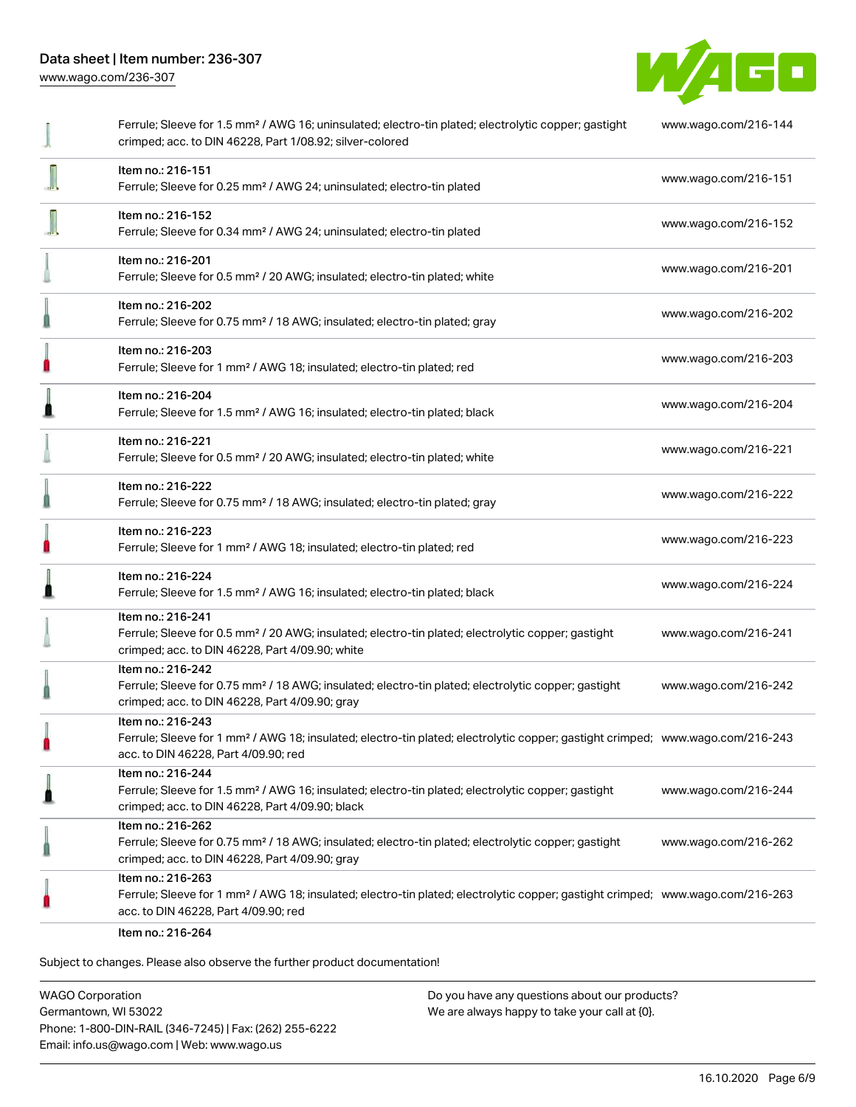

|   | Ferrule; Sleeve for 1.5 mm <sup>2</sup> / AWG 16; uninsulated; electro-tin plated; electrolytic copper; gastight<br>crimped; acc. to DIN 46228, Part 1/08.92; silver-colored                            | www.wago.com/216-144 |
|---|---------------------------------------------------------------------------------------------------------------------------------------------------------------------------------------------------------|----------------------|
|   | Item no.: 216-151<br>Ferrule; Sleeve for 0.25 mm <sup>2</sup> / AWG 24; uninsulated; electro-tin plated                                                                                                 | www.wago.com/216-151 |
|   | Item no.: 216-152<br>Ferrule; Sleeve for 0.34 mm <sup>2</sup> / AWG 24; uninsulated; electro-tin plated                                                                                                 | www.wago.com/216-152 |
|   | Item no.: 216-201<br>Ferrule; Sleeve for 0.5 mm <sup>2</sup> / 20 AWG; insulated; electro-tin plated; white                                                                                             | www.wago.com/216-201 |
|   | Item no.: 216-202<br>Ferrule; Sleeve for 0.75 mm <sup>2</sup> / 18 AWG; insulated; electro-tin plated; gray                                                                                             | www.wago.com/216-202 |
| O | Item no.: 216-203<br>Ferrule; Sleeve for 1 mm <sup>2</sup> / AWG 18; insulated; electro-tin plated; red                                                                                                 | www.wago.com/216-203 |
| I | Item no.: 216-204<br>Ferrule; Sleeve for 1.5 mm <sup>2</sup> / AWG 16; insulated; electro-tin plated; black                                                                                             | www.wago.com/216-204 |
|   | Item no.: 216-221<br>Ferrule; Sleeve for 0.5 mm <sup>2</sup> / 20 AWG; insulated; electro-tin plated; white                                                                                             | www.wago.com/216-221 |
|   | Item no.: 216-222<br>Ferrule; Sleeve for 0.75 mm <sup>2</sup> / 18 AWG; insulated; electro-tin plated; gray                                                                                             | www.wago.com/216-222 |
| O | Item no.: 216-223<br>Ferrule; Sleeve for 1 mm <sup>2</sup> / AWG 18; insulated; electro-tin plated; red                                                                                                 | www.wago.com/216-223 |
| Ω | Item no.: 216-224<br>Ferrule; Sleeve for 1.5 mm <sup>2</sup> / AWG 16; insulated; electro-tin plated; black                                                                                             | www.wago.com/216-224 |
|   | Item no.: 216-241<br>Ferrule; Sleeve for 0.5 mm <sup>2</sup> / 20 AWG; insulated; electro-tin plated; electrolytic copper; gastight<br>crimped; acc. to DIN 46228, Part 4/09.90; white                  | www.wago.com/216-241 |
|   | Item no.: 216-242<br>Ferrule; Sleeve for 0.75 mm <sup>2</sup> / 18 AWG; insulated; electro-tin plated; electrolytic copper; gastight<br>crimped; acc. to DIN 46228, Part 4/09.90; gray                  | www.wago.com/216-242 |
|   | Item no.: 216-243<br>Ferrule; Sleeve for 1 mm <sup>2</sup> / AWG 18; insulated; electro-tin plated; electrolytic copper; gastight crimped; www.wago.com/216-243<br>acc. to DIN 46228, Part 4/09.90; red |                      |
| I | Item no.: 216-244<br>Ferrule; Sleeve for 1.5 mm <sup>2</sup> / AWG 16; insulated; electro-tin plated; electrolytic copper; gastight<br>crimped; acc. to DIN 46228, Part 4/09.90; black                  | www.wago.com/216-244 |
|   | Item no.: 216-262<br>Ferrule; Sleeve for 0.75 mm <sup>2</sup> / 18 AWG; insulated; electro-tin plated; electrolytic copper; gastight<br>crimped; acc. to DIN 46228, Part 4/09.90; gray                  | www.wago.com/216-262 |
|   | Item no.: 216-263<br>Ferrule; Sleeve for 1 mm <sup>2</sup> / AWG 18; insulated; electro-tin plated; electrolytic copper; gastight crimped; www.wago.com/216-263<br>acc. to DIN 46228, Part 4/09.90; red |                      |
|   | Item no.: 216-264                                                                                                                                                                                       |                      |

Subject to changes. Please also observe the further product documentation!

WAGO Corporation Germantown, WI 53022 Phone: 1-800-DIN-RAIL (346-7245) | Fax: (262) 255-6222 Email: info.us@wago.com | Web: www.wago.us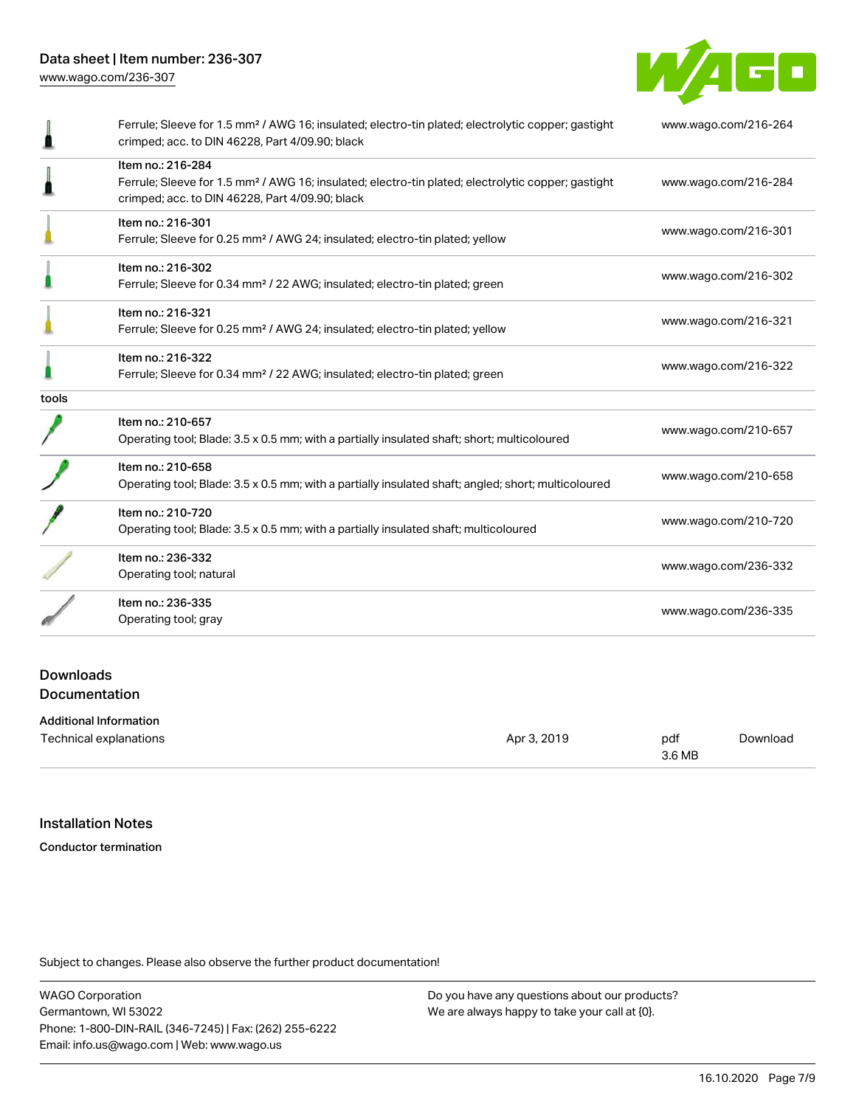

|                                          | Ferrule; Sleeve for 1.5 mm <sup>2</sup> / AWG 16; insulated; electro-tin plated; electrolytic copper; gastight<br>crimped; acc. to DIN 46228, Part 4/09.90; black                      | www.wago.com/216-264 |
|------------------------------------------|----------------------------------------------------------------------------------------------------------------------------------------------------------------------------------------|----------------------|
|                                          | Item no.: 216-284<br>Ferrule; Sleeve for 1.5 mm <sup>2</sup> / AWG 16; insulated; electro-tin plated; electrolytic copper; gastight<br>crimped; acc. to DIN 46228, Part 4/09.90; black | www.wago.com/216-284 |
|                                          | Item no.: 216-301<br>Ferrule; Sleeve for 0.25 mm <sup>2</sup> / AWG 24; insulated; electro-tin plated; yellow                                                                          | www.wago.com/216-301 |
|                                          | Item no.: 216-302<br>Ferrule; Sleeve for 0.34 mm <sup>2</sup> / 22 AWG; insulated; electro-tin plated; green                                                                           | www.wago.com/216-302 |
|                                          | Item no.: 216-321<br>Ferrule; Sleeve for 0.25 mm <sup>2</sup> / AWG 24; insulated; electro-tin plated; yellow                                                                          | www.wago.com/216-321 |
|                                          | Item no.: 216-322<br>Ferrule; Sleeve for 0.34 mm <sup>2</sup> / 22 AWG; insulated; electro-tin plated; green                                                                           | www.wago.com/216-322 |
| tools                                    |                                                                                                                                                                                        |                      |
|                                          | Item no.: 210-657<br>Operating tool; Blade: 3.5 x 0.5 mm; with a partially insulated shaft; short; multicoloured                                                                       | www.wago.com/210-657 |
|                                          | Item no.: 210-658<br>Operating tool; Blade: 3.5 x 0.5 mm; with a partially insulated shaft; angled; short; multicoloured                                                               | www.wago.com/210-658 |
|                                          | Item no.: 210-720<br>Operating tool; Blade: 3.5 x 0.5 mm; with a partially insulated shaft; multicoloured                                                                              | www.wago.com/210-720 |
|                                          | Item no.: 236-332<br>Operating tool; natural                                                                                                                                           | www.wago.com/236-332 |
|                                          | Item no.: 236-335<br>Operating tool; gray                                                                                                                                              | www.wago.com/236-335 |
| <b>Downloads</b><br><b>Documentation</b> |                                                                                                                                                                                        |                      |

Additional Information

| Technical explanations | Apr 3, 2019 | pdf    | Download |
|------------------------|-------------|--------|----------|
|                        |             | 3.6 MB |          |

# Installation Notes

Conductor termination

Subject to changes. Please also observe the further product documentation!

WAGO Corporation Germantown, WI 53022 Phone: 1-800-DIN-RAIL (346-7245) | Fax: (262) 255-6222 Email: info.us@wago.com | Web: www.wago.us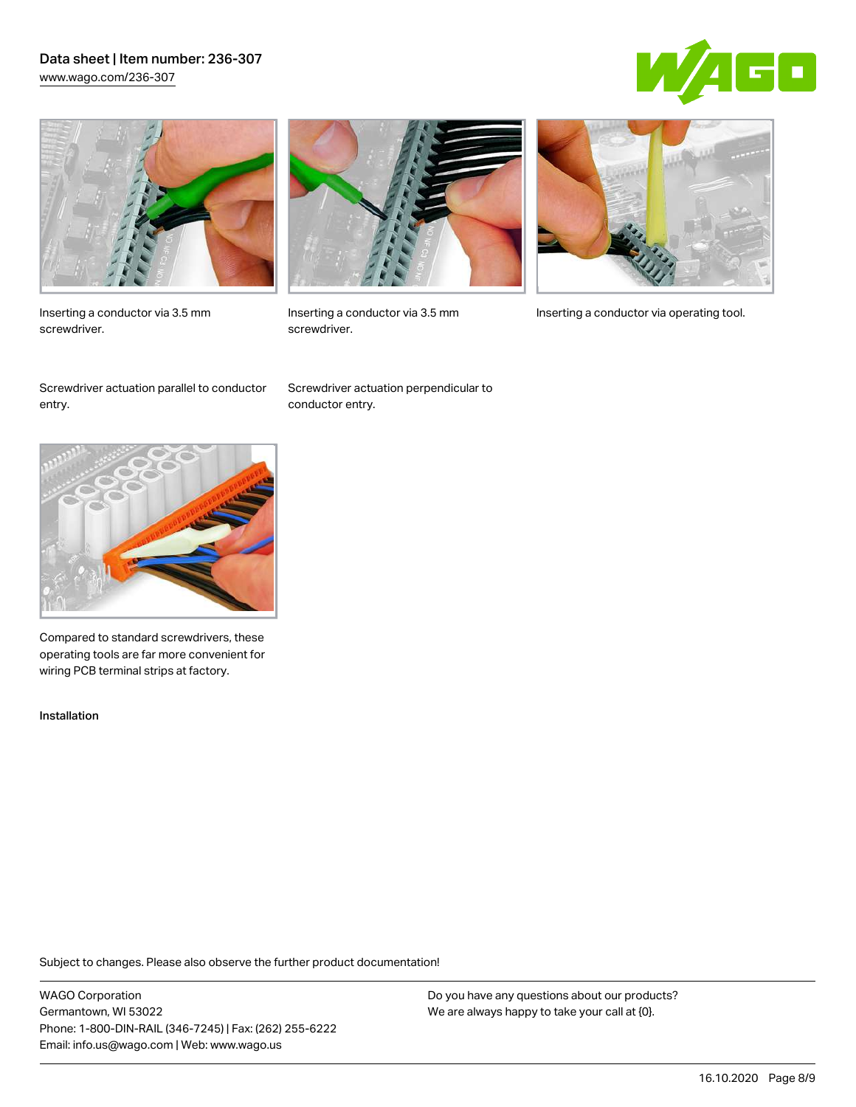## Data sheet | Item number: 236-307 [www.wago.com/236-307](http://www.wago.com/236-307)





Inserting a conductor via 3.5 mm screwdriver.



screwdriver.

Inserting a conductor via 3.5 mm Inserting a conductor via operating tool.

Screwdriver actuation parallel to conductor entry.

Screwdriver actuation perpendicular to conductor entry.



Compared to standard screwdrivers, these operating tools are far more convenient for wiring PCB terminal strips at factory.

Installation

Subject to changes. Please also observe the further product documentation!

WAGO Corporation Germantown, WI 53022 Phone: 1-800-DIN-RAIL (346-7245) | Fax: (262) 255-6222 Email: info.us@wago.com | Web: www.wago.us